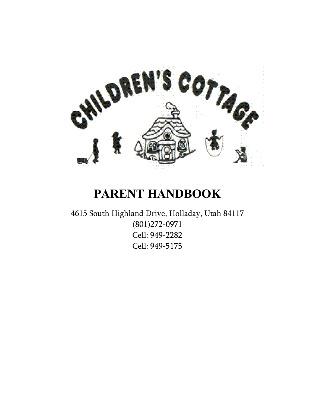

# **PARENT HANDBOOK**

4615 South Highland Drive, Holladay, Utah 84117 (801)272-0971 Cell: 949-2282 Cell: 949-5175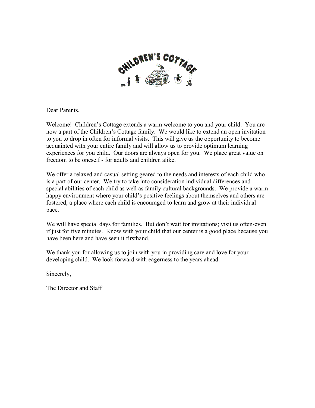

Dear Parents,

Welcome! Children's Cottage extends a warm welcome to you and your child. You are now a part of the Children's Cottage family. We would like to extend an open invitation to you to drop in often for informal visits. This will give us the opportunity to become acquainted with your entire family and will allow us to provide optimum learning experiences for you child. Our doors are always open for you. We place great value on freedom to be oneself - for adults and children alike.

We offer a relaxed and casual setting geared to the needs and interests of each child who is a part of our center. We try to take into consideration individual differences and special abilities of each child as well as family cultural backgrounds. We provide a warm happy environment where your child's positive feelings about themselves and others are fostered; a place where each child is encouraged to learn and grow at their individual pace.

We will have special days for families. But don't wait for invitations; visit us often-even if just for five minutes. Know with your child that our center is a good place because you have been here and have seen it firsthand.

We thank you for allowing us to join with you in providing care and love for your developing child. We look forward with eagerness to the years ahead.

Sincerely,

The Director and Staff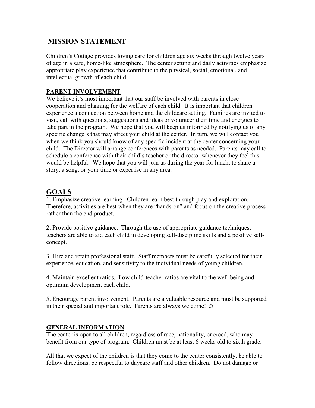# **MISSION STATEMENT**

Children's Cottage provides loving care for children age six weeks through twelve years of age in a safe, home-like atmosphere. The center setting and daily activities emphasize appropriate play experience that contribute to the physical, social, emotional, and intellectual growth of each child.

## **PARENT INVOLVEMENT**

We believe it's most important that our staff be involved with parents in close cooperation and planning for the welfare of each child. It is important that children experience a connection between home and the childcare setting. Families are invited to visit, call with questions, suggestions and ideas or volunteer their time and energies to take part in the program. We hope that you will keep us informed by notifying us of any specific change's that may affect your child at the center. In turn, we will contact you when we think you should know of any specific incident at the center concerning your child. The Director will arrange conferences with parents as needed. Parents may call to schedule a conference with their child's teacher or the director whenever they feel this would be helpful. We hope that you will join us during the year for lunch, to share a story, a song, or your time or expertise in any area.

# **GOALS**

1. Emphasize creative learning. Children learn best through play and exploration. Therefore, activities are best when they are "hands-on" and focus on the creative process rather than the end product.

2. Provide positive guidance. Through the use of appropriate guidance techniques, teachers are able to aid each child in developing self-discipline skills and a positive selfconcept.

3. Hire and retain professional staff. Staff members must be carefully selected for their experience, education, and sensitivity to the individual needs of young children.

4. Maintain excellent ratios. Low child-teacher ratios are vital to the well-being and optimum development each child.

5. Encourage parent involvement. Parents are a valuable resource and must be supported in their special and important role. Parents are always welcome!  $\odot$ 

## **GENERAL INFORMATION**

The center is open to all children, regardless of race, nationality, or creed, who may benefit from our type of program. Children must be at least 6 weeks old to sixth grade.

All that we expect of the children is that they come to the center consistently, be able to follow directions, be respectful to daycare staff and other children. Do not damage or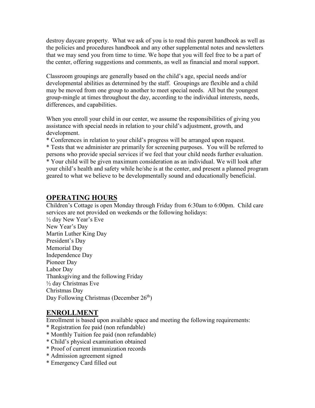destroy daycare property. What we ask of you is to read this parent handbook as well as the policies and procedures handbook and any other supplemental notes and newsletters that we may send you from time to time. We hope that you will feel free to be a part of the center, offering suggestions and comments, as well as financial and moral support.

Classroom groupings are generally based on the child's age, special needs and/or developmental abilities as determined by the staff. Groupings are flexible and a child may be moved from one group to another to meet special needs. All but the youngest group-mingle at times throughout the day, according to the individual interests, needs, differences, and capabilities.

When you enroll your child in our center, we assume the responsibilities of giving you assistance with special needs in relation to your child's adjustment, growth, and development.

\* Conferences in relation to your child's progress will be arranged upon request.

\* Tests that we administer are primarily for screening purposes. You will be referred to persons who provide special services if we feel that your child needs further evaluation. \* Your child will be given maximum consideration as an individual. We will look after your child's health and safety while he/she is at the center, and present a planned program geared to what we believe to be developmentally sound and educationally beneficial.

# **OPERATING HOURS**

Children's Cottage is open Monday through Friday from 6:30am to 6:00pm. Child care services are not provided on weekends or the following holidays: ½ day New Year's Eve New Year's Day Martin Luther King Day President's Day Memorial Day Independence Day Pioneer Day Labor Day Thanksgiving and the following Friday ½ day Christmas Eve Christmas Day Day Following Christmas (December 26<sup>th</sup>)

# **ENROLLMENT**

Enrollment is based upon available space and meeting the following requirements:

- \* Registration fee paid (non refundable)
- \* Monthly Tuition fee paid (non refundable)
- \* Child's physical examination obtained
- \* Proof of current immunization records
- \* Admission agreement signed
- \* Emergency Card filled out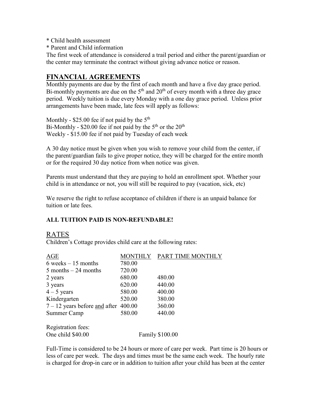- \* Child health assessment
- \* Parent and Child information

The first week of attendance is considered a trail period and either the parent/guardian or the center may terminate the contract without giving advance notice or reason.

# **FINANCIAL AGREEMENTS**

Monthly payments are due by the first of each month and have a five day grace period. Bi-monthly payments are due on the  $5<sup>th</sup>$  and  $20<sup>th</sup>$  of every month with a three day grace period. Weekly tuition is due every Monday with a one day grace period. Unless prior arrangements have been made, late fees will apply as follows:

Monthly -  $$25.00$  fee if not paid by the  $5<sup>th</sup>$ Bi-Monthly - \$20.00 fee if not paid by the  $5<sup>th</sup>$  or the  $20<sup>th</sup>$ Weekly - \$15.00 fee if not paid by Tuesday of each week

A 30 day notice must be given when you wish to remove your child from the center, if the parent/guardian fails to give proper notice, they will be charged for the entire month or for the required 30 day notice from when notice was given.

Parents must understand that they are paying to hold an enrollment spot. Whether your child is in attendance or not, you will still be required to pay (vacation, sick, etc)

We reserve the right to refuse acceptance of children if there is an unpaid balance for tuition or late fees.

#### **ALL TUITION PAID IS NON-REFUNDABLE!**

## RATES

Children's Cottage provides child care at the following rates:

| <b>AGE</b>                             | MONTHLY                | PART TIME MONTHLY |
|----------------------------------------|------------------------|-------------------|
| $6$ weeks $-15$ months                 | 780.00                 |                   |
| $5$ months $-24$ months                | 720.00                 |                   |
| 2 years                                | 680.00                 | 480.00            |
| 3 years                                | 620.00                 | 440.00            |
| $4 - 5$ years                          | 580.00                 | 400.00            |
| Kindergarten                           | 520.00                 | 380.00            |
| $7 - 12$ years before and after 400.00 |                        | 360.00            |
| Summer Camp                            | 580.00                 | 440.00            |
| Registration fees:                     |                        |                   |
| One child \$40.00                      | <b>Family \$100.00</b> |                   |

Full-Time is considered to be 24 hours or more of care per week. Part time is 20 hours or less of care per week. The days and times must be the same each week. The hourly rate is charged for drop-in care or in addition to tuition after your child has been at the center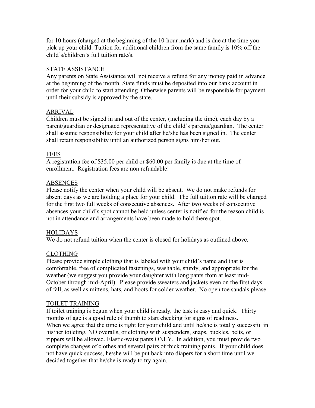for 10 hours (charged at the beginning of the 10-hour mark) and is due at the time you pick up your child. Tuition for additional children from the same family is 10% off the child's/children's full tuition rate/s.

#### STATE ASSISTANCE

Any parents on State Assistance will not receive a refund for any money paid in advance at the beginning of the month. State funds must be deposited into our bank account in order for your child to start attending. Otherwise parents will be responsible for payment until their subsidy is approved by the state.

## ARRIVAL

Children must be signed in and out of the center, (including the time), each day by a parent/guardian or designated representative of the child's parents/guardian. The center shall assume responsibility for your child after he/she has been signed in. The center shall retain responsibility until an authorized person signs him/her out.

## FEES

A registration fee of \$35.00 per child or \$60.00 per family is due at the time of enrollment. Registration fees are non refundable!

## **ABSENCES**

Please notify the center when your child will be absent. We do not make refunds for absent days as we are holding a place for your child. The full tuition rate will be charged for the first two full weeks of consecutive absences. After two weeks of consecutive absences your child's spot cannot be held unless center is notified for the reason child is not in attendance and arrangements have been made to hold there spot.

#### **HOLIDAYS**

We do not refund tuition when the center is closed for holidays as outlined above.

#### CLOTHING

Please provide simple clothing that is labeled with your child's name and that is comfortable, free of complicated fastenings, washable, sturdy, and appropriate for the weather (we suggest you provide your daughter with long pants from at least mid-October through mid-April). Please provide sweaters and jackets even on the first days of fall, as well as mittens, hats, and boots for colder weather. No open toe sandals please.

#### TOILET TRAINING

If toilet training is begun when your child is ready, the task is easy and quick. Thirty months of age is a good rule of thumb to start checking for signs of readiness. When we agree that the time is right for your child and until he/she is totally successful in his/her toileting, NO overalls, or clothing with suspenders, snaps, buckles, belts, or zippers will be allowed. Elastic-waist pants ONLY. In addition, you must provide two complete changes of clothes and several pairs of thick training pants. If your child does not have quick success, he/she will be put back into diapers for a short time until we decided together that he/she is ready to try again.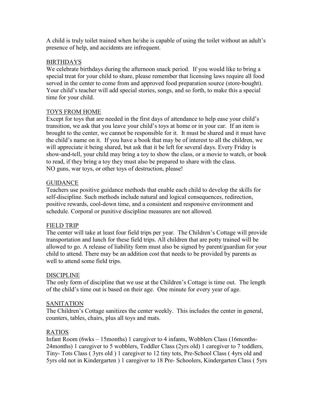A child is truly toilet trained when he/she is capable of using the toilet without an adult's presence of help, and accidents are infrequent.

#### BIRTHDAYS

We celebrate birthdays during the afternoon snack period. If you would like to bring a special treat for your child to share, please remember that licensing laws require all food served in the center to come from and approved food preparation source (store-bought). Your child's teacher will add special stories, songs, and so forth, to make this a special time for your child.

#### TOYS FROM HOME

Except for toys that are needed in the first days of attendance to help ease your child's transition, we ask that you leave your child's toys at home or in your car. If an item is brought to the center, we cannot be responsible for it. It must be shared and it must have the child's name on it. If you have a book that may be of interest to all the children, we will appreciate it being shared, but ask that it be left for several days. Every Friday is show-and-tell, your child may bring a toy to show the class, or a movie to watch, or book to read, if they bring a toy they must also be prepared to share with the class. NO guns, war toys, or other toys of destruction, please!

#### **GUIDANCE**

Teachers use positive guidance methods that enable each child to develop the skills for self-discipline. Such methods include natural and logical consequences, redirection, positive rewards, cool-down time, and a consistent and responsive environment and schedule. Corporal or punitive discipline measures are not allowed.

#### FIELD TRIP

The center will take at least four field trips per year. The Children's Cottage will provide transportation and lunch for these field trips. All children that are potty trained will be allowed to go. A release of liability form must also be signed by parent/guardian for your child to attend. There may be an addition cost that needs to be provided by parents as well to attend some field trips.

#### DISCIPLINE

The only form of discipline that we use at the Children's Cottage is time out. The length of the child's time out is based on their age. One minute for every year of age.

#### SANITATION

The Children's Cottage sanitizes the center weekly. This includes the center in general, counters, tables, chairs, plus all toys and mats.

#### RATIOS

Infant Room (6wks – 15months) 1 caregiver to 4 infants, Wobblers Class (16months-24months) 1 caregiver to 5 wobblers, Toddler Class (2yrs old) 1 caregiver to 7 toddlers, Tiny- Tots Class ( 3yrs old ) 1 caregiver to 12 tiny tots, Pre-School Class ( 4yrs old and 5yrs old not in Kindergarten ) 1 caregiver to 18 Pre- Schoolers, Kindergarten Class ( 5yrs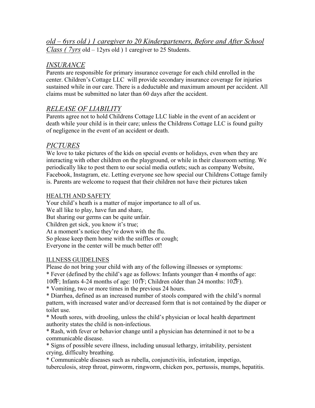*old – 6yrs old ) 1 caregiver to 20 Kindergarteners, Before and After School Class ( 7yrs* old – 12yrs old ) 1 caregiver to 25 Students.

# *INSURANCE*

Parents are responsible for primary insurance coverage for each child enrolled in the center. Children's Cottage LLC will provide secondary insurance coverage for injuries sustained while in our care. There is a deductable and maximum amount per accident. All claims must be submitted no later than 60 days after the accident.

# *RELEASE OF LIABILITY*

Parents agree not to hold Childrens Cottage LLC liable in the event of an accident or death while your child is in their care; unless the Childrens Cottage LLC is found guilty of negligence in the event of an accident or death.

# *PICTURES*

We love to take pictures of the kids on special events or holidays, even when they are interacting with other children on the playground, or while in their classroom setting. We periodically like to post them to our social media outlets; such as company Website, Facebook, Instagram, etc. Letting everyone see how special our Childrens Cottage family is. Parents are welcome to request that their children not have their pictures taken

## HEALTH AND SAFETY

Your child's heath is a matter of major importance to all of us. We all like to play, have fun and share, But sharing our germs can be quite unfair. Children get sick, you know it's true; At a moment's notice they're down with the flu. So please keep them home with the sniffles or cough; Everyone in the center will be much better off!

## ILLNESS GUIDELINES

Please do not bring your child with any of the following illnesses or symptoms:

\* Fever (defined by the child's age as follows: Infants younger than 4 months of age:

100̊F; Infants 4-24 months of age: 101̊F; Children older than 24 months: 102̊F).

\* Vomiting, two or more times in the previous 24 hours.

\* Diarrhea, defined as an increased number of stools compared with the child's normal pattern, with increased water and/or decreased form that is not contained by the diaper or toilet use.

\* Mouth sores, with drooling, unless the child's physician or local health department authority states the child is non-infectious.

\* Rash, with fever or behavior change until a physician has determined it not to be a communicable disease.

\* Signs of possible severe illness, including unusual lethargy, irritability, persistent crying, difficulty breathing.

\* Communicable diseases such as rubella, conjunctivitis, infestation, impetigo, tuberculosis, strep throat, pinworm, ringworm, chicken pox, pertussis, mumps, hepatitis.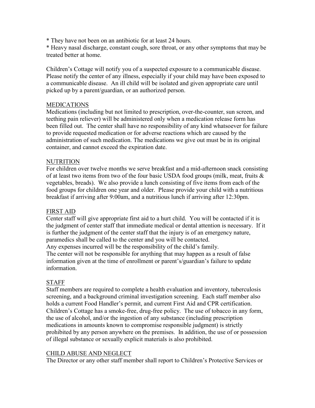\* They have not been on an antibiotic for at least 24 hours.

\* Heavy nasal discharge, constant cough, sore throat, or any other symptoms that may be treated better at home.

Children's Cottage will notify you of a suspected exposure to a communicable disease. Please notify the center of any illness, especially if your child may have been exposed to a communicable disease. An ill child will be isolated and given appropriate care until picked up by a parent/guardian, or an authorized person.

#### **MEDICATIONS**

Medications (including but not limited to prescription, over-the-counter, sun screen, and teething pain reliever) will be administered only when a medication release form has been filled out. The center shall have no responsibility of any kind whatsoever for failure to provide requested medication or for adverse reactions which are caused by the administration of such medication. The medications we give out must be in its original container, and cannot exceed the expiration date.

#### NUTRITION

For children over twelve months we serve breakfast and a mid-afternoon snack consisting of at least two items from two of the four basic USDA food groups (milk, meat, fruits & vegetables, breads). We also provide a lunch consisting of five items from each of the food groups for children one year and older. Please provide your child with a nutritious breakfast if arriving after 9:00am, and a nutritious lunch if arriving after 12:30pm.

#### FIRST AID

Center staff will give appropriate first aid to a hurt child. You will be contacted if it is the judgment of center staff that immediate medical or dental attention is necessary. If it is further the judgment of the center staff that the injury is of an emergency nature, paramedics shall be called to the center and you will be contacted.

Any expenses incurred will be the responsibility of the child's family. The center will not be responsible for anything that may happen as a result of false information given at the time of enrollment or parent's/guardian's failure to update information.

#### STAFF

Staff members are required to complete a health evaluation and inventory, tuberculosis screening, and a background criminal investigation screening. Each staff member also holds a current Food Handler's permit, and current First Aid and CPR certification. Children's Cottage has a smoke-free, drug-free policy. The use of tobacco in any form, the use of alcohol, and/or the ingestion of any substance (including prescription medications in amounts known to compromise responsible judgment) is strictly prohibited by any person anywhere on the premises. In addition, the use of or possession of illegal substance or sexually explicit materials is also prohibited.

#### CHILD ABUSE AND NEGLECT

The Director or any other staff member shall report to Children's Protective Services or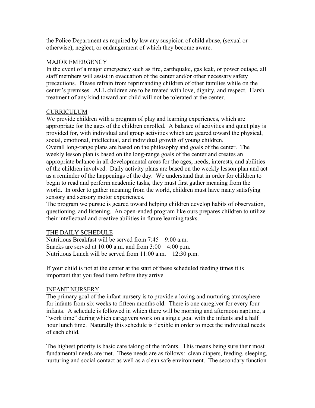the Police Department as required by law any suspicion of child abuse, (sexual or otherwise), neglect, or endangerment of which they become aware.

#### MAJOR EMERGENCY

In the event of a major emergency such as fire, earthquake, gas leak, or power outage, all staff members will assist in evacuation of the center and/or other necessary safety precautions. Please refrain from reprimanding children of other families while on the center's premises. ALL children are to be treated with love, dignity, and respect. Harsh treatment of any kind toward ant child will not be tolerated at the center.

#### CURRICULUM

We provide children with a program of play and learning experiences, which are appropriate for the ages of the children enrolled. A balance of activities and quiet play is provided for, with individual and group activities which are geared toward the physical, social, emotional, intellectual, and individual growth of young children. Overall long-range plans are based on the philosophy and goals of the center. The weekly lesson plan is based on the long-range goals of the center and creates an appropriate balance in all developmental areas for the ages, needs, interests, and abilities of the children involved. Daily activity plans are based on the weekly lesson plan and act as a reminder of the happenings of the day. We understand that in order for children to begin to read and perform academic tasks, they must first gather meaning from the world. In order to gather meaning from the world, children must have many satisfying sensory and sensory motor experiences.

The program we pursue is geared toward helping children develop habits of observation, questioning, and listening. An open-ended program like ours prepares children to utilize their intellectual and creative abilities in future learning tasks.

#### THE DAILY SCHEDULE

Nutritious Breakfast will be served from 7:45 – 9:00 a.m. Snacks are served at  $10:00$  a.m. and from  $3:00 - 4:00$  p.m. Nutritious Lunch will be served from 11:00 a.m. – 12:30 p.m.

If your child is not at the center at the start of these scheduled feeding times it is important that you feed them before they arrive.

#### INFANT NURSERY

The primary goal of the infant nursery is to provide a loving and nurturing atmosphere for infants from six weeks to fifteen months old. There is one caregiver for every four infants. A schedule is followed in which there will be morning and afternoon naptime, a "work time" during which caregivers work on a single goal with the infants and a half hour lunch time. Naturally this schedule is flexible in order to meet the individual needs of each child.

The highest priority is basic care taking of the infants. This means being sure their most fundamental needs are met. These needs are as follows: clean diapers, feeding, sleeping, nurturing and social contact as well as a clean safe environment. The secondary function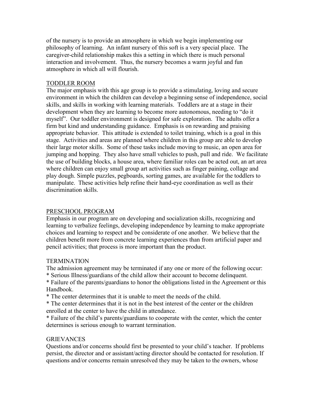of the nursery is to provide an atmosphere in which we begin implementing our philosophy of learning. An infant nursery of this soft is a very special place. The caregiver-child relationship makes this a setting in which there is much personal interaction and involvement. Thus, the nursery becomes a warm joyful and fun atmosphere in which all will flourish.

#### TODDLER ROOM

The major emphasis with this age group is to provide a stimulating, loving and secure environment in which the children can develop a beginning sense of independence, social skills, and skills in working with learning materials. Toddlers are at a stage in their development when they are learning to become more autonomous, needing to "do it myself". Our toddler environment is designed for safe exploration. The adults offer a firm but kind and understanding guidance. Emphasis is on rewarding and praising appropriate behavior. This attitude is extended to toilet training, which is a goal in this stage. Activities and areas are planned where children in this group are able to develop their large motor skills. Some of these tasks include moving to music, an open area for jumping and hopping. They also have small vehicles to push, pull and ride. We facilitate the use of building blocks, a house area, where familiar roles can be acted out, an art area where children can enjoy small group art activities such as finger paining, collage and play dough. Simple puzzles, pegboards, sorting games, are available for the toddlers to manipulate. These activities help refine their hand-eye coordination as well as their discrimination skills.

#### PRESCHOOL PROGRAM

Emphasis in our program are on developing and socialization skills, recognizing and learning to verbalize feelings, developing independence by learning to make appropriate choices and learning to respect and be considerate of one another. We believe that the children benefit more from concrete learning experiences than from artificial paper and pencil activities; that process is more important than the product.

#### **TERMINATION**

The admission agreement may be terminated if any one or more of the following occur:

\* Serious Illness/guardians of the child allow their account to become delinquent.

\* Failure of the parents/guardians to honor the obligations listed in the Agreement or this Handbook.

\* The center determines that it is unable to meet the needs of the child.

\* The center determines that it is not in the best interest of the center or the children enrolled at the center to have the child in attendance.

\* Failure of the child's parents/guardians to cooperate with the center, which the center determines is serious enough to warrant termination.

#### GRIEVANCES

Questions and/or concerns should first be presented to your child's teacher. If problems persist, the director and or assistant/acting director should be contacted for resolution. If questions and/or concerns remain unresolved they may be taken to the owners, whose